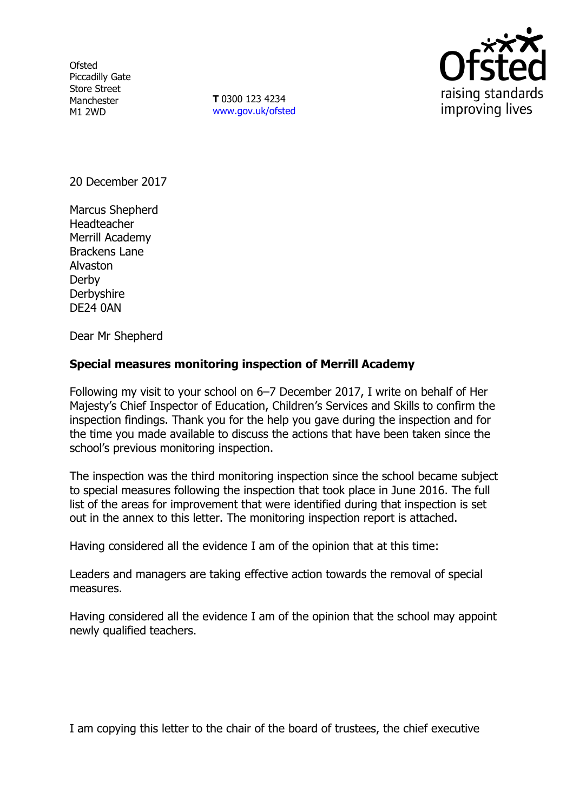**Ofsted** Piccadilly Gate Store Street Manchester M1 2WD

**T** 0300 123 4234 www.gov.uk/ofsted



20 December 2017

Marcus Shepherd Headteacher Merrill Academy Brackens Lane Alvaston Derby **Derbyshire** DE24 0AN

Dear Mr Shepherd

# **Special measures monitoring inspection of Merrill Academy**

Following my visit to your school on 6–7 December 2017, I write on behalf of Her Majesty's Chief Inspector of Education, Children's Services and Skills to confirm the inspection findings. Thank you for the help you gave during the inspection and for the time you made available to discuss the actions that have been taken since the school's previous monitoring inspection.

The inspection was the third monitoring inspection since the school became subject to special measures following the inspection that took place in June 2016. The full list of the areas for improvement that were identified during that inspection is set out in the annex to this letter. The monitoring inspection report is attached.

Having considered all the evidence I am of the opinion that at this time:

Leaders and managers are taking effective action towards the removal of special measures.

Having considered all the evidence I am of the opinion that the school may appoint newly qualified teachers.

I am copying this letter to the chair of the board of trustees, the chief executive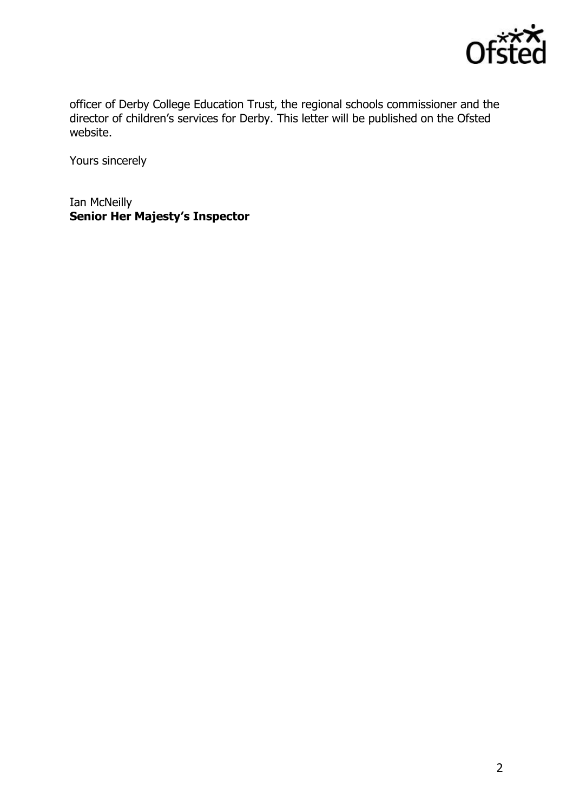

officer of Derby College Education Trust, the regional schools commissioner and the director of children's services for Derby. This letter will be published on the Ofsted website.

Yours sincerely

Ian McNeilly **Senior Her Majesty's Inspector**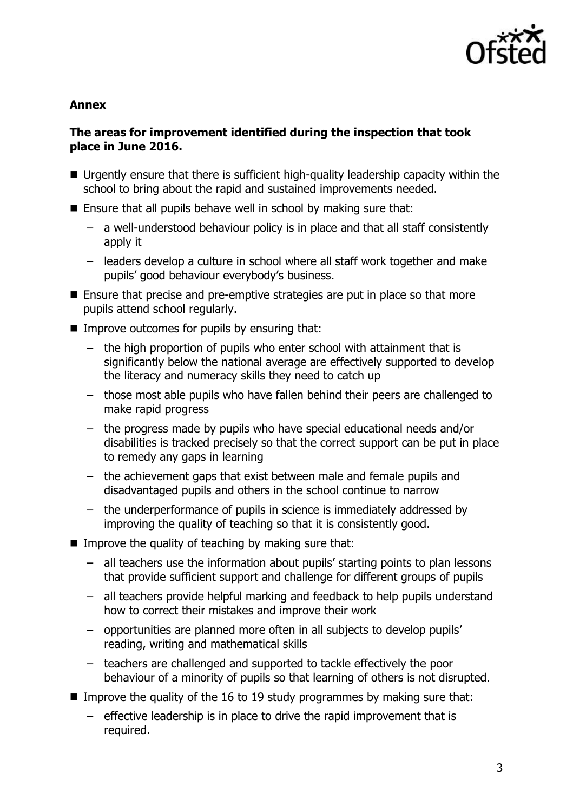

## **Annex**

## **The areas for improvement identified during the inspection that took place in June 2016.**

- Urgently ensure that there is sufficient high-quality leadership capacity within the school to bring about the rapid and sustained improvements needed.
- $\blacksquare$  Ensure that all pupils behave well in school by making sure that:
	- a well-understood behaviour policy is in place and that all staff consistently apply it
	- leaders develop a culture in school where all staff work together and make pupils' good behaviour everybody's business.
- Ensure that precise and pre-emptive strategies are put in place so that more pupils attend school regularly.
- $\blacksquare$  Improve outcomes for pupils by ensuring that:
	- the high proportion of pupils who enter school with attainment that is significantly below the national average are effectively supported to develop the literacy and numeracy skills they need to catch up
	- those most able pupils who have fallen behind their peers are challenged to make rapid progress
	- the progress made by pupils who have special educational needs and/or disabilities is tracked precisely so that the correct support can be put in place to remedy any gaps in learning
	- the achievement gaps that exist between male and female pupils and disadvantaged pupils and others in the school continue to narrow
	- the underperformance of pupils in science is immediately addressed by improving the quality of teaching so that it is consistently good.
- **IMPROVE the quality of teaching by making sure that:** 
	- all teachers use the information about pupils' starting points to plan lessons that provide sufficient support and challenge for different groups of pupils
	- all teachers provide helpful marking and feedback to help pupils understand how to correct their mistakes and improve their work
	- opportunities are planned more often in all subjects to develop pupils' reading, writing and mathematical skills
	- teachers are challenged and supported to tackle effectively the poor behaviour of a minority of pupils so that learning of others is not disrupted.
- Improve the quality of the 16 to 19 study programmes by making sure that:
	- effective leadership is in place to drive the rapid improvement that is required.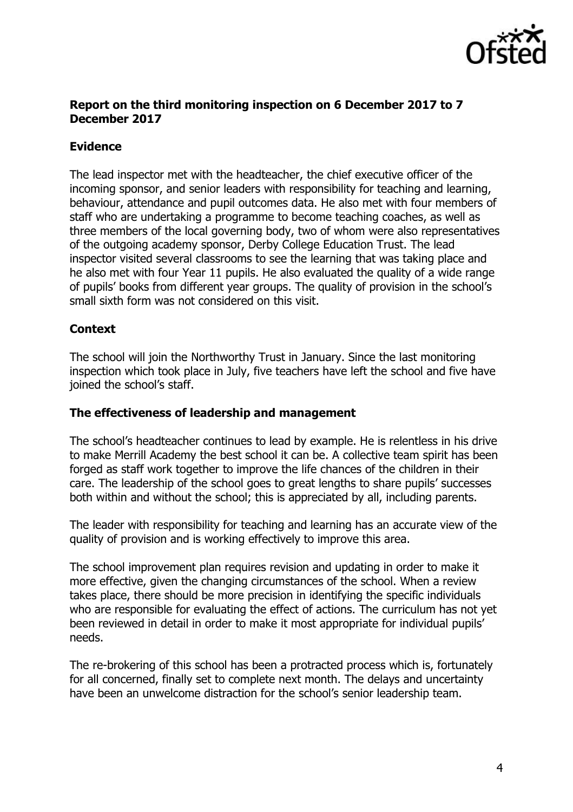

### **Report on the third monitoring inspection on 6 December 2017 to 7 December 2017**

# **Evidence**

The lead inspector met with the headteacher, the chief executive officer of the incoming sponsor, and senior leaders with responsibility for teaching and learning, behaviour, attendance and pupil outcomes data. He also met with four members of staff who are undertaking a programme to become teaching coaches, as well as three members of the local governing body, two of whom were also representatives of the outgoing academy sponsor, Derby College Education Trust. The lead inspector visited several classrooms to see the learning that was taking place and he also met with four Year 11 pupils. He also evaluated the quality of a wide range of pupils' books from different year groups. The quality of provision in the school's small sixth form was not considered on this visit.

## **Context**

The school will join the Northworthy Trust in January. Since the last monitoring inspection which took place in July, five teachers have left the school and five have joined the school's staff.

## **The effectiveness of leadership and management**

The school's headteacher continues to lead by example. He is relentless in his drive to make Merrill Academy the best school it can be. A collective team spirit has been forged as staff work together to improve the life chances of the children in their care. The leadership of the school goes to great lengths to share pupils' successes both within and without the school; this is appreciated by all, including parents.

The leader with responsibility for teaching and learning has an accurate view of the quality of provision and is working effectively to improve this area.

The school improvement plan requires revision and updating in order to make it more effective, given the changing circumstances of the school. When a review takes place, there should be more precision in identifying the specific individuals who are responsible for evaluating the effect of actions. The curriculum has not yet been reviewed in detail in order to make it most appropriate for individual pupils' needs.

The re-brokering of this school has been a protracted process which is, fortunately for all concerned, finally set to complete next month. The delays and uncertainty have been an unwelcome distraction for the school's senior leadership team.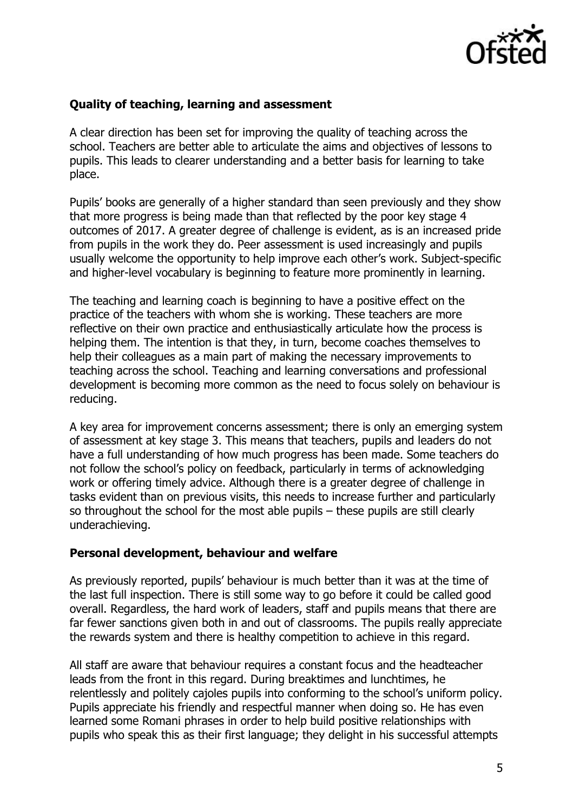

## **Quality of teaching, learning and assessment**

A clear direction has been set for improving the quality of teaching across the school. Teachers are better able to articulate the aims and objectives of lessons to pupils. This leads to clearer understanding and a better basis for learning to take place.

Pupils' books are generally of a higher standard than seen previously and they show that more progress is being made than that reflected by the poor key stage 4 outcomes of 2017. A greater degree of challenge is evident, as is an increased pride from pupils in the work they do. Peer assessment is used increasingly and pupils usually welcome the opportunity to help improve each other's work. Subject-specific and higher-level vocabulary is beginning to feature more prominently in learning.

The teaching and learning coach is beginning to have a positive effect on the practice of the teachers with whom she is working. These teachers are more reflective on their own practice and enthusiastically articulate how the process is helping them. The intention is that they, in turn, become coaches themselves to help their colleagues as a main part of making the necessary improvements to teaching across the school. Teaching and learning conversations and professional development is becoming more common as the need to focus solely on behaviour is reducing.

A key area for improvement concerns assessment; there is only an emerging system of assessment at key stage 3. This means that teachers, pupils and leaders do not have a full understanding of how much progress has been made. Some teachers do not follow the school's policy on feedback, particularly in terms of acknowledging work or offering timely advice. Although there is a greater degree of challenge in tasks evident than on previous visits, this needs to increase further and particularly so throughout the school for the most able pupils – these pupils are still clearly underachieving.

#### **Personal development, behaviour and welfare**

As previously reported, pupils' behaviour is much better than it was at the time of the last full inspection. There is still some way to go before it could be called good overall. Regardless, the hard work of leaders, staff and pupils means that there are far fewer sanctions given both in and out of classrooms. The pupils really appreciate the rewards system and there is healthy competition to achieve in this regard.

All staff are aware that behaviour requires a constant focus and the headteacher leads from the front in this regard. During breaktimes and lunchtimes, he relentlessly and politely cajoles pupils into conforming to the school's uniform policy. Pupils appreciate his friendly and respectful manner when doing so. He has even learned some Romani phrases in order to help build positive relationships with pupils who speak this as their first language; they delight in his successful attempts